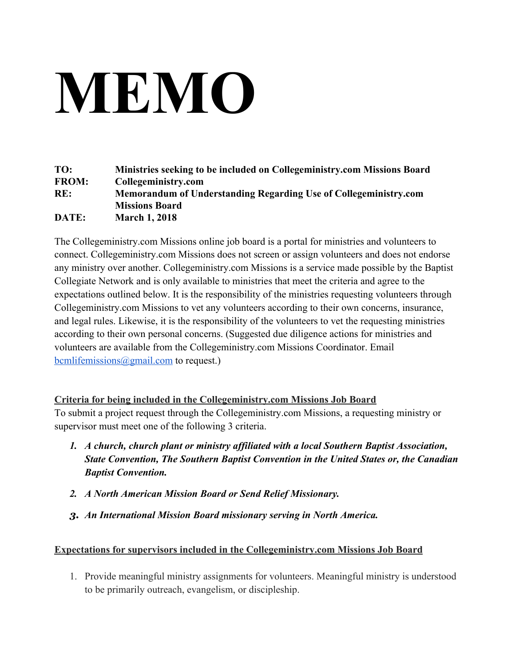## **MEMO**

| TO:          | Ministries seeking to be included on Collegeministry.com Missions Board |
|--------------|-------------------------------------------------------------------------|
| <b>FROM:</b> | Collegeministry.com                                                     |
| RE:          | Memorandum of Understanding Regarding Use of Collegeministry.com        |
|              | <b>Missions Board</b>                                                   |
| DATE:        | <b>March 1, 2018</b>                                                    |

The Collegeministry.com Missions online job board is a portal for ministries and volunteers to connect. Collegeministry.com Missions does not screen or assign volunteers and does not endorse any ministry over another. Collegeministry.com Missions is a service made possible by the Baptist Collegiate Network and is only available to ministries that meet the criteria and agree to the expectations outlined below. It is the responsibility of the ministries requesting volunteers through Collegeministry.com Missions to vet any volunteers according to their own concerns, insurance, and legal rules. Likewise, it is the responsibility of the volunteers to vet the requesting ministries according to their own personal concerns. (Suggested due diligence actions for ministries and volunteers are available from the Collegeministry.com Missions Coordinator. Email  $b$ cmlifemissions@gmail.com to request.)

## **Criteria for being included in the Collegeministry.com Missions Job Board**

To submit a project request through the Collegeministry.com Missions, a requesting ministry or supervisor must meet one of the following 3 criteria.

- *1. A church, church plant or ministry affiliated with a local Southern Baptist Association, State Convention, The Southern Baptist Convention in the United States or, the Canadian Baptist Convention.*
- *2. A North American Mission Board or Send Relief Missionary.*
- *3. An International Mission Board missionary serving in North America.*

## **Expectations for supervisors included in the Collegeministry.com Missions Job Board**

1. Provide meaningful ministry assignments for volunteers. Meaningful ministry is understood to be primarily outreach, evangelism, or discipleship.